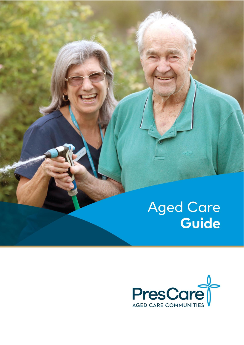# Aged Care<br>**Guide**

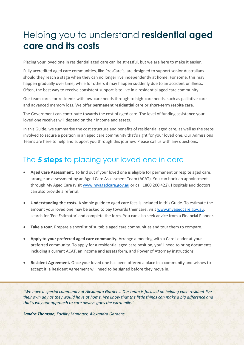# Helping you to understand **residential aged care and its costs**

Placing your loved one in residential aged care can be stressful, but we are here to make it easier.

Fully accredited aged care communities, like PresCare's, are designed to support senior Australians should they reach a stage when they can no longer live independently at home. For some, this may happen gradually over time, while for others it may happen suddenly due to an accident or illness. Often, the best way to receive consistent support is to live in a residential aged care community.

Our team cares for residents with low-care needs through to high-care needs, such as palliative care and advanced memory loss. We offer **permanent residential care** or **short-term respite care**.

The Government can contribute towards the cost of aged care. The level of funding assistance your loved one receives will depend on their income and assets.

In this Guide, we summarise the cost structure and benefits of residential aged care, as well as the steps involved to secure a position in an aged care community that's right for your loved one. Our Admissions Teams are here to help and support you through this journey. Please call us with any questions.

# The **5 steps** to placing your loved one in care

- **Aged Care Assessment.** To find out if your loved one is eligible for permanent or respite aged care, arrange an assessment by an Aged Care Assessment Team (ACAT). You can book an appointment through My Aged Care (visit [www.myagedcare.gov.au](http://www.myagedcare.gov.au/) or call 1800 200 422). Hospitals and doctors can also provide a referral.
- **Understanding the costs.** A simple guide to aged care fees is included in this Guide. To estimate the amount your loved one may be asked to pay towards their care, visit [www.myagedcare.gov.au,](http://www.myagedcare.gov.au/) search for 'Fee Estimator' and complete the form. You can also seek advice from a Financial Planner.
- **Take a tour.** Prepare a shortlist of suitable aged care communities and tour them to compare.
- **Apply to your preferred aged care community.** Arrange a meeting with a Care Leader at your preferred community. To apply for a residential aged care position, you'll need to bring documents including a current ACAT, an income and assets form, and Power of Attorney instructions.
- **Resident Agreement.** Once your loved one has been offered a place in a community and wishes to accept it, a Resident Agreement will need to be signed before they move in.

*"We have a special community at Alexandra Gardens. Our team is focused on helping each resident live their own day as they would have at home. We know that the little things can make a big difference and that's why our approach to care always goes the extra mile."* 

*Sandra Thomson, Facility Manager, Alexandra Gardens*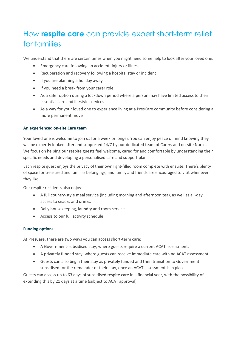# How **respite care** can provide expert short-term relief for families

We understand that there are certain times when you might need some help to look after your loved one:

- Emergency care following an accident, injury or illness
- Recuperation and recovery following a hospital stay or incident
- If you are planning a holiday away
- If you need a break from your carer role
- As a safer option during a lockdown period where a person may have limited access to their essential care and lifestyle services
- As a way for your loved one to experience living at a PresCare community before considering a more permanent move

## **An experienced on-site Care team**

Your loved one is welcome to join us for a week or longer. You can enjoy peace of mind knowing they will be expertly looked after and supported 24/7 by our dedicated team of Carers and on-site Nurses. We focus on helping our respite guests feel welcome, cared for and comfortable by understanding their specific needs and developing a personalised care and support plan.

Each respite guest enjoys the privacy of their own light-filled room complete with ensuite. There's plenty of space for treasured and familiar belongings, and family and friends are encouraged to visit whenever they like.

Our respite residents also enjoy:

- A full country-style meal service (including morning and afternoon tea), as well as all-day access to snacks and drinks.
- Daily housekeeping, laundry and room service
- Access to our full activity schedule

## **Funding options**

At PresCare, there are two ways you can access short-term care:

- A Government-subsidised stay, where guests require a current ACAT assessment.
- A privately funded stay, where guests can receive immediate care with no ACAT assessment.
- Guests can also begin their stay as privately funded and then transition to Government subsidised for the remainder of their stay, once an ACAT assessment is in place.

Guests can access up to 63 days of subsidised respite care in a financial year, with the possibility of extending this by 21 days at a time (subject to ACAT approval).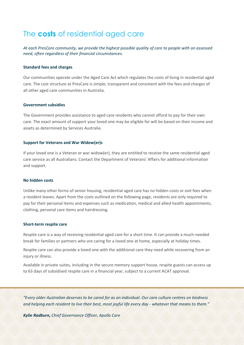# The **costs** of residential aged care

*At each PresCare community, we provide the highest possible quality of care to people with an assessed need, often regardless of their financial circumstances.* 

#### **Standard fees and charges**

Our communities operate under the Aged Care Act which regulates the costs of living in residential aged care. The cost structure at PresCare is simple, transparent and consistent with the fees and charges of all other aged care communities in Australia.

#### **Government subsidies**

The Government provides assistance to aged care residents who cannot afford to pay for their own care. The exact amount of support your loved one may be eligible for will be based on their income and assets as determined by Services Australia.

#### **Support for Veterans and War Widow(er)s**

If your loved one is a Veteran or war widow(er), they are entitled to receive the same residential aged care service as all Australians. Contact the Department of Veterans' Affairs for additional information and support.

#### **No hidden costs**

Unlike many other forms of senior housing, residential aged care has no hidden costs or exit fees when a resident leaves. Apart from the costs outlined on the following page, residents are only required to pay for their personal items and expenses such as medication, medical and allied health appointments, clothing, personal care items and hairdressing.

#### **Short-term respite care**

Respite care is a way of receiving residential aged care for a short time. It can provide a much-needed break for families or partners who are caring for a loved one at home, especially at holiday times.

Respite care can also provide a loved one with the additional care they need while recovering from an injury or illness.

Available in private suites, including in the secure memory support house, respite guests can access up to 63 days of subsidised respite care in a financial year, subject to a current ACAT approval.

*"Every older Australian deserves to be cared for as an individual. Our care culture centres on kindness and helping each resident to live their best, most joyful life every day - whatever that means to them."* 

*Kylie Radburn, Chief Governance Officer, Apollo Care*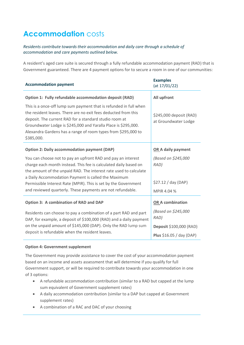# **Accommodation** costs

## *Residents contribute towards their accommodation and daily care through a schedule of accommodation and care payments outlined below.*

A resident's aged care suite is secured through a fully refundable accommodation payment (RAD) that is Government guaranteed. There are 4 payment options for to secure a room in one of our communities:

| <b>Accommodation payment</b>                                                                                                                                                                                                                                                                                                                   | <b>Examples</b><br>(at 17/01/22)                |
|------------------------------------------------------------------------------------------------------------------------------------------------------------------------------------------------------------------------------------------------------------------------------------------------------------------------------------------------|-------------------------------------------------|
| Option 1: Fully refundable accommodation deposit (RAD)                                                                                                                                                                                                                                                                                         | All upfront                                     |
| This is a once-off lump sum payment that is refunded in full when<br>the resident leaves. There are no exit fees deducted from this<br>deposit. The current RAD for a standard studio room at<br>Groundwater Lodge is \$245,000 and Yaralla Place is \$295,000.<br>Alexandra Gardens has a range of room types from \$295,000 to<br>\$385,000. | \$245,000 deposit (RAD)<br>at Groundwater Lodge |
| <b>Option 2: Daily accommodation payment (DAP)</b>                                                                                                                                                                                                                                                                                             | <b>OR A daily payment</b>                       |
| You can choose not to pay an upfront RAD and pay an interest<br>charge each month instead. This fee is calculated daily based on<br>the amount of the unpaid RAD. The interest rate used to calculate                                                                                                                                          | (Based on \$245,000<br>RAD)                     |
| a Daily Accommodation Payment is called the Maximum<br>Permissible Interest Rate (MPIR). This is set by the Government                                                                                                                                                                                                                         | \$27.12 / day (DAP)                             |
| and reviewed quarterly. These payments are not refundable.                                                                                                                                                                                                                                                                                     | MPIR 4.04 %                                     |
| <b>Option 3: A combination of RAD and DAP</b>                                                                                                                                                                                                                                                                                                  | <b>OR A combination</b>                         |
| Residents can choose to pay a combination of a part RAD and part<br>DAP, for example, a deposit of \$100,000 (RAD) and a daily payment                                                                                                                                                                                                         | (Based on \$245,000<br>RAD)                     |
| on the unpaid amount of \$145,000 (DAP). Only the RAD lump sum                                                                                                                                                                                                                                                                                 | Deposit \$100,000 (RAD)                         |
| deposit is refundable when the resident leaves.                                                                                                                                                                                                                                                                                                | Plus \$16.05 / day (DAP)                        |

## **Option 4: Government supplement**

The Government may provide assistance to cover the cost of your accommodation payment based on an income and assets assessment that will determine if you qualify for full Government support, or will be required to contribute towards your accommodation in one of 3 options:

- A refundable accommodation contribution (similar to a RAD but capped at the lump sum equivalent of Government supplement rates)
- A daily accommodation contribution (similar to a DAP but capped at Government supplement rates)
- A combination of a RAC and DAC of your choosing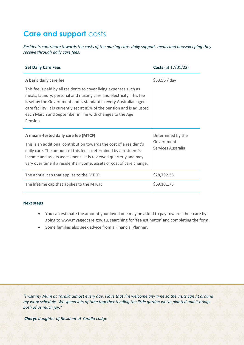# **Care and support** costs

*Residents contribute towards the costs of the nursing care, daily support, meals and housekeeping they receive through daily care fees.* 

| <b>Set Daily Care Fees</b>                                                                                                                                                                                                                                                                                                                                         | <b>Costs</b> (at 17/01/22)                             |
|--------------------------------------------------------------------------------------------------------------------------------------------------------------------------------------------------------------------------------------------------------------------------------------------------------------------------------------------------------------------|--------------------------------------------------------|
| A basic daily care fee                                                                                                                                                                                                                                                                                                                                             | \$53.56 / day                                          |
| This fee is paid by all residents to cover living expenses such as<br>meals, laundry, personal and nursing care and electricity. This fee<br>is set by the Government and is standard in every Australian aged<br>care facility. It is currently set at 85% of the pension and is adjusted<br>each March and September in line with changes to the Age<br>Pension. |                                                        |
| A means-tested daily care fee (MTCF)<br>This is an additional contribution towards the cost of a resident's<br>daily care. The amount of this fee is determined by a resident's<br>income and assets assessment. It is reviewed quarterly and may<br>vary over time if a resident's income, assets or cost of care change.                                         | Determined by the<br>Government:<br>Services Australia |
| The annual cap that applies to the MTCF:                                                                                                                                                                                                                                                                                                                           | \$28,792.36                                            |
| The lifetime cap that applies to the MTCF:                                                                                                                                                                                                                                                                                                                         | \$69,101.75                                            |

#### **Next steps**

- You can estimate the amount your loved one may be asked to pay towards their care by going t[o www.myagedcare.gov.au](http://www.myagedcare.gov.au/), searching for 'fee estimator' and completing the form.
- Some families also seek advice from a Financial Planner.

*"I visit my Mum at Yaralla almost every day. I love that I'm welcome any time so the visits can fit around my work schedule. We spend lots of time together tending the little garden we've planted and it brings both of us much joy."*

*Cheryl, daughter of Resident at Yaralla Lodge*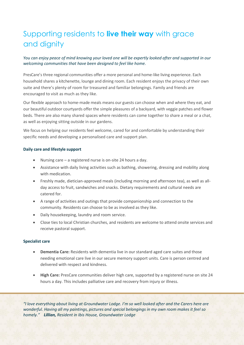# Supporting residents to **live their way** with grace and dignity

## *You can enjoy peace of mind knowing your loved one will be expertly looked after and supported in our welcoming communities that have been designed to feel like home.*

PresCare's three regional communities offer a more personal and home-like living experience. Each household shares a kitchenette, lounge and dining room. Each resident enjoys the privacy of their own suite and there's plenty of room for treasured and familiar belongings. Family and friends are encouraged to visit as much as they like.

Our flexible approach to home-made meals means our guests can choose when and where they eat, and our beautiful outdoor courtyards offer the simple pleasures of a backyard, with veggie patches and flower beds. There are also many shared spaces where residents can come together to share a meal or a chat, as well as enjoying sitting outside in our gardens.

We focus on helping our residents feel welcome, cared for and comfortable by understanding their specific needs and developing a personalised care and support plan.

## **Daily care and lifestyle support**

- Nursing care a registered nurse is on-site 24 hours a day.
- Assistance with daily living activities such as bathing, showering, dressing and mobility along with medication.
- Freshly made, dietician-approved meals (including morning and afternoon tea), as well as allday access to fruit, sandwiches and snacks. Dietary requirements and cultural needs are catered for.
- A range of activities and outings that provide companionship and connection to the community. Residents can choose to be as involved as they like.
- Daily housekeeping, laundry and room service.
- Close ties to local Christian churches, and residents are welcome to attend onsite services and receive pastoral support.

## **Specialist care**

- **Dementia Care:** Residents with dementia live in our standard aged care suites and those needing emotional care live in our secure memory support units. Care is person centred and delivered with respect and kindness.
- **High Care:** PresCare communities deliver high care, supported by a registered nurse on site 24 hours a day. This includes palliative care and recovery from injury or illness.

*"I love everything about living at Groundwater Lodge. I'm so well looked after and the Carers here are wonderful. Having all my paintings, pictures and special belongings in my own room makes it feel so homely." Lillian, Resident in Ibis House, Groundwater Lodge*